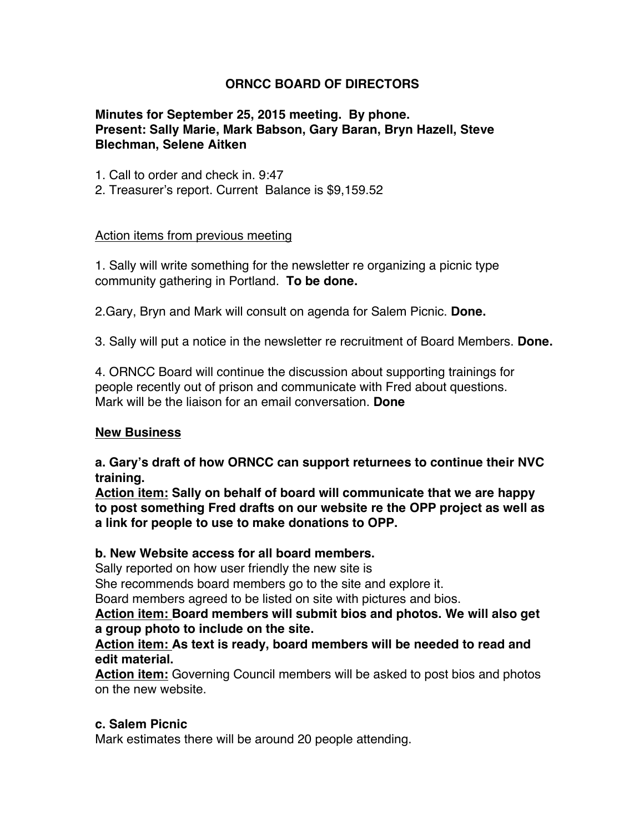# **ORNCC BOARD OF DIRECTORS**

## **Minutes for September 25, 2015 meeting. By phone. Present: Sally Marie, Mark Babson, Gary Baran, Bryn Hazell, Steve Blechman, Selene Aitken**

1. Call to order and check in. 9:47

2. Treasurer's report. Current Balance is \$9,159.52

#### Action items from previous meeting

1. Sally will write something for the newsletter re organizing a picnic type community gathering in Portland. **To be done.**

2.Gary, Bryn and Mark will consult on agenda for Salem Picnic. **Done.**

3. Sally will put a notice in the newsletter re recruitment of Board Members. **Done.**

4. ORNCC Board will continue the discussion about supporting trainings for people recently out of prison and communicate with Fred about questions. Mark will be the liaison for an email conversation. **Done**

#### **New Business**

**a. Gary's draft of how ORNCC can support returnees to continue their NVC training.**

**Action item: Sally on behalf of board will communicate that we are happy to post something Fred drafts on our website re the OPP project as well as a link for people to use to make donations to OPP.**

## **b. New Website access for all board members.**

Sally reported on how user friendly the new site is

She recommends board members go to the site and explore it.

Board members agreed to be listed on site with pictures and bios.

**Action item: Board members will submit bios and photos. We will also get a group photo to include on the site.**

#### **Action item: As text is ready, board members will be needed to read and edit material.**

**Action item:** Governing Council members will be asked to post bios and photos on the new website.

#### **c. Salem Picnic**

Mark estimates there will be around 20 people attending.